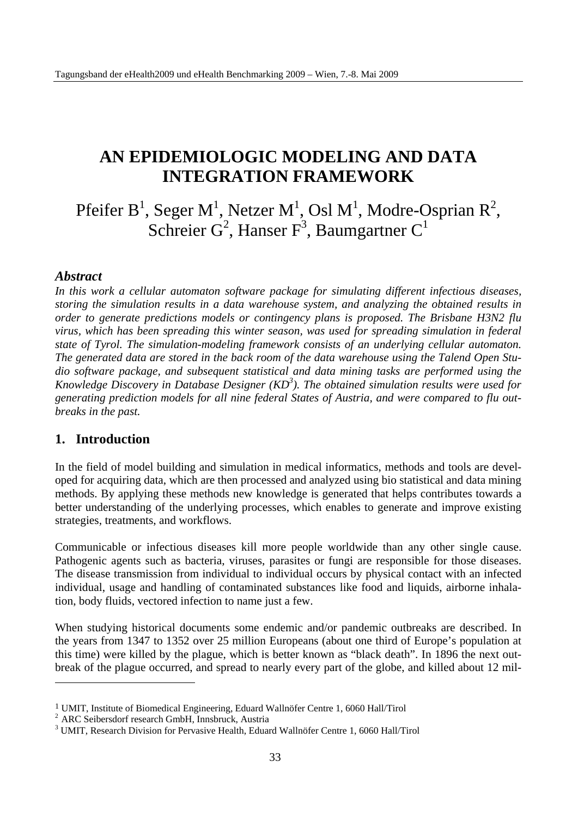# **AN EPIDEMIOLOGIC MODELING AND DATA INTEGRATION FRAMEWORK**

Pfeifer B<sup>1</sup>, Seger M<sup>1</sup>, Netzer M<sup>1</sup>, Osl M<sup>1</sup>, Modre-Osprian R<sup>2</sup>, Schreier  $G^2$ , Hanser  $F^3$ , Baumgartner  $C^1$ 

### *Abstract*

*In this work a cellular automaton software package for simulating different infectious diseases, storing the simulation results in a data warehouse system, and analyzing the obtained results in order to generate predictions models or contingency plans is proposed. The Brisbane H3N2 flu virus, which has been spreading this winter season, was used for spreading simulation in federal state of Tyrol. The simulation-modeling framework consists of an underlying cellular automaton. The generated data are stored in the back room of the data warehouse using the Talend Open Studio software package, and subsequent statistical and data mining tasks are performed using the Knowledge Discovery in Database Designer (KD3 ). The obtained simulation results were used for generating prediction models for all nine federal States of Austria, and were compared to flu outbreaks in the past.* 

### **1. Introduction**

 $\overline{a}$ 

In the field of model building and simulation in medical informatics, methods and tools are developed for acquiring data, which are then processed and analyzed using bio statistical and data mining methods. By applying these methods new knowledge is generated that helps contributes towards a better understanding of the underlying processes, which enables to generate and improve existing strategies, treatments, and workflows.

Communicable or infectious diseases kill more people worldwide than any other single cause. Pathogenic agents such as bacteria, viruses, parasites or fungi are responsible for those diseases. The disease transmission from individual to individual occurs by physical contact with an infected individual, usage and handling of contaminated substances like food and liquids, airborne inhalation, body fluids, vectored infection to name just a few.

When studying historical documents some endemic and/or pandemic outbreaks are described. In the years from 1347 to 1352 over 25 million Europeans (about one third of Europe's population at this time) were killed by the plague, which is better known as "black death". In 1896 the next outbreak of the plague occurred, and spread to nearly every part of the globe, and killed about 12 mil-

<sup>&</sup>lt;sup>1</sup> UMIT, Institute of Biomedical Engineering, Eduard Wallnöfer Centre 1, 6060 Hall/Tirol <sup>2</sup> ARC Seibersdorf research GmbH, Innsbruck, Austria

<sup>&</sup>lt;sup>3</sup> UMIT, Research Division for Pervasive Health, Eduard Wallnöfer Centre 1, 6060 Hall/Tirol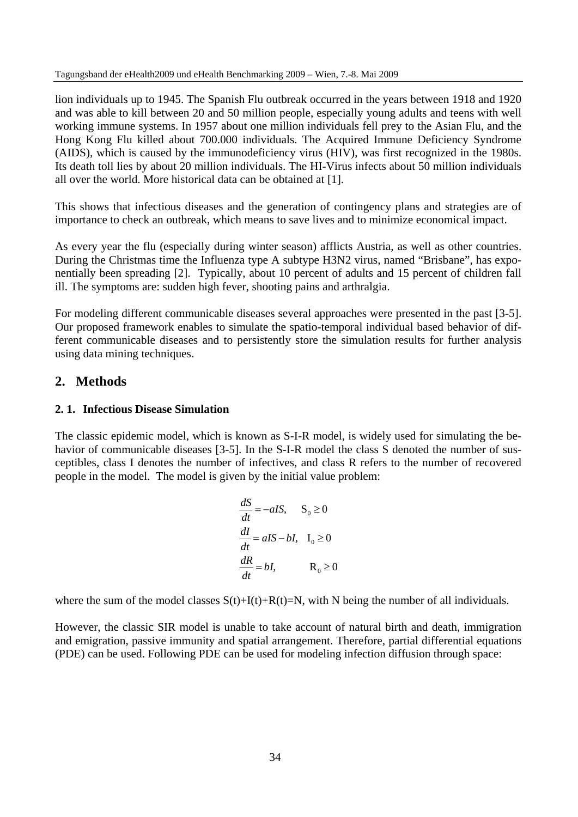lion individuals up to 1945. The Spanish Flu outbreak occurred in the years between 1918 and 1920 and was able to kill between 20 and 50 million people, especially young adults and teens with well working immune systems. In 1957 about one million individuals fell prey to the Asian Flu, and the Hong Kong Flu killed about 700.000 individuals. The Acquired Immune Deficiency Syndrome (AIDS), which is caused by the immunodeficiency virus (HIV), was first recognized in the 1980s. Its death toll lies by about 20 million individuals. The HI-Virus infects about 50 million individuals all over the world. More historical data can be obtained at [1].

This shows that infectious diseases and the generation of contingency plans and strategies are of importance to check an outbreak, which means to save lives and to minimize economical impact.

As every year the flu (especially during winter season) afflicts Austria, as well as other countries. During the Christmas time the Influenza type A subtype H3N2 virus, named "Brisbane", has exponentially been spreading [2]. Typically, about 10 percent of adults and 15 percent of children fall ill. The symptoms are: sudden high fever, shooting pains and arthralgia.

For modeling different communicable diseases several approaches were presented in the past [3-5]. Our proposed framework enables to simulate the spatio-temporal individual based behavior of different communicable diseases and to persistently store the simulation results for further analysis using data mining techniques.

## **2. Methods**

#### **2. 1. Infectious Disease Simulation**

The classic epidemic model, which is known as S-I-R model, is widely used for simulating the behavior of communicable diseases [3-5]. In the S-I-R model the class S denoted the number of susceptibles, class I denotes the number of infectives, and class R refers to the number of recovered people in the model. The model is given by the initial value problem:

$$
\frac{dS}{dt} = -aIS, \quad S_0 \ge 0
$$
  

$$
\frac{dI}{dt} = aIS - bI, \quad I_0 \ge 0
$$
  

$$
\frac{dR}{dt} = bI, \quad R_0 \ge 0
$$

where the sum of the model classes  $S(t)+I(t)+R(t)=N$ , with N being the number of all individuals.

However, the classic SIR model is unable to take account of natural birth and death, immigration and emigration, passive immunity and spatial arrangement. Therefore, partial differential equations (PDE) can be used. Following PDE can be used for modeling infection diffusion through space: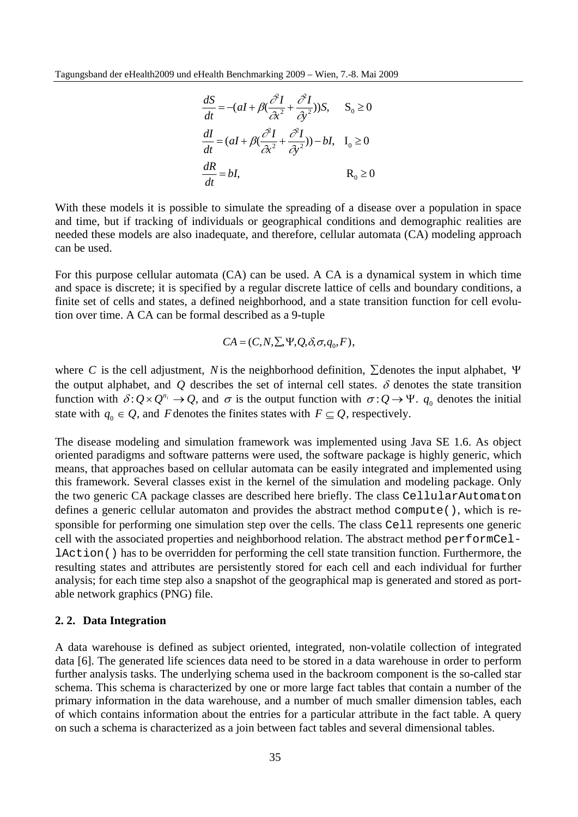$$
\frac{dS}{dt} = -(aI + \beta(\frac{\partial^2 I}{\partial x^2} + \frac{\partial^2 I}{\partial y^2}))S, \quad S_0 \ge 0
$$
  

$$
\frac{dI}{dt} = (aI + \beta(\frac{\partial^2 I}{\partial x^2} + \frac{\partial^2 I}{\partial y^2})) - bI, \quad I_0 \ge 0
$$
  

$$
\frac{dR}{dt} = bI, \qquad R_0 \ge 0
$$

With these models it is possible to simulate the spreading of a disease over a population in space and time, but if tracking of individuals or geographical conditions and demographic realities are needed these models are also inadequate, and therefore, cellular automata (CA) modeling approach can be used.

For this purpose cellular automata (CA) can be used. A CA is a dynamical system in which time and space is discrete; it is specified by a regular discrete lattice of cells and boundary conditions, a finite set of cells and states, a defined neighborhood, and a state transition function for cell evolution over time. A CA can be formal described as a 9-tuple

$$
CA = (C, N, \Sigma, \Psi, Q, \delta, \sigma, q_0, F),
$$

where *C* is the cell adjustment, *N*is the neighborhood definition, ∑denotes the input alphabet, Ψ the output alphabet, and  $Q$  describes the set of internal cell states.  $\delta$  denotes the state transition function with  $\delta: Q \times Q^{n_i} \to Q$ , and  $\sigma$  is the output function with  $\sigma: Q \to \Psi$ .  $q_0$  denotes the initial state with  $q_0 \in Q$ , and *F* denotes the finites states with  $F \subseteq Q$ , respectively.

The disease modeling and simulation framework was implemented using Java SE 1.6. As object oriented paradigms and software patterns were used, the software package is highly generic, which means, that approaches based on cellular automata can be easily integrated and implemented using this framework. Several classes exist in the kernel of the simulation and modeling package. Only the two generic CA package classes are described here briefly. The class CellularAutomaton defines a generic cellular automaton and provides the abstract method compute(), which is responsible for performing one simulation step over the cells. The class Cell represents one generic cell with the associated properties and neighborhood relation. The abstract method performCellAction() has to be overridden for performing the cell state transition function. Furthermore, the resulting states and attributes are persistently stored for each cell and each individual for further analysis; for each time step also a snapshot of the geographical map is generated and stored as portable network graphics (PNG) file.

#### **2. 2. Data Integration**

A data warehouse is defined as subject oriented, integrated, non-volatile collection of integrated data [6]. The generated life sciences data need to be stored in a data warehouse in order to perform further analysis tasks. The underlying schema used in the backroom component is the so-called star schema. This schema is characterized by one or more large fact tables that contain a number of the primary information in the data warehouse, and a number of much smaller dimension tables, each of which contains information about the entries for a particular attribute in the fact table. A query on such a schema is characterized as a join between fact tables and several dimensional tables.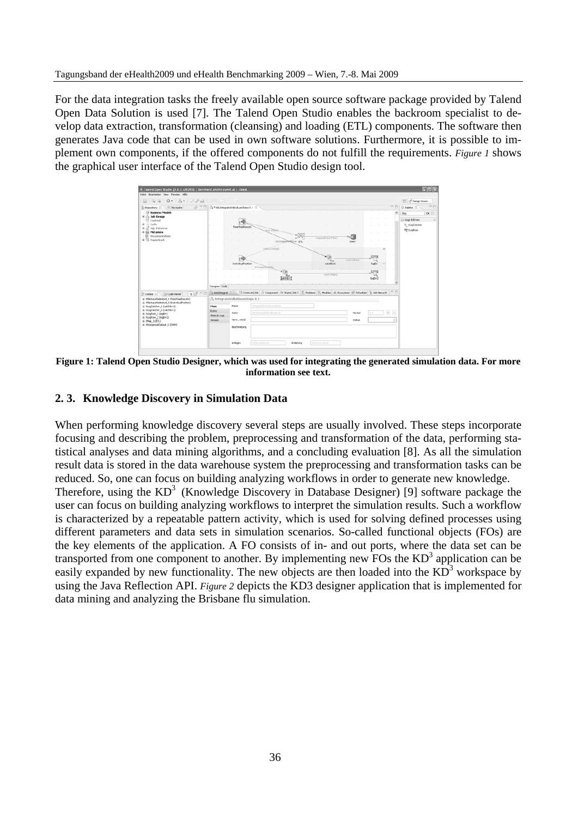For the data integration tasks the freely available open source software package provided by Talend Open Data Solution is used [7]. The Talend Open Studio enables the backroom specialist to develop data extraction, transformation (cleansing) and loading (ETL) components. The software then generates Java code that can be used in own software solutions. Furthermore, it is possible to implement own components, if the offered components do not fulfill the requirements. *Figure 1* shows the graphical user interface of the Talend Open Studio design tool.



**Figure 1: Talend Open Studio Designer, which was used for integrating the generated simulation data. For more information see text.** 

### **2. 3. Knowledge Discovery in Simulation Data**

When performing knowledge discovery several steps are usually involved. These steps incorporate focusing and describing the problem, preprocessing and transformation of the data, performing statistical analyses and data mining algorithms, and a concluding evaluation [8]. As all the simulation result data is stored in the data warehouse system the preprocessing and transformation tasks can be reduced. So, one can focus on building analyzing workflows in order to generate new knowledge. Therefore, using the  $KD^3$  (Knowledge Discovery in Database Designer) [9] software package the user can focus on building analyzing workflows to interpret the simulation results. Such a workflow is characterized by a repeatable pattern activity, which is used for solving defined processes using different parameters and data sets in simulation scenarios. So-called functional objects (FOs) are the key elements of the application. A FO consists of in- and out ports, where the data set can be transported from one component to another. By implementing new FOs the  $KD^3$  application can be easily expanded by new functionality. The new objects are then loaded into the  $\overrightarrow{KD}^3$  workspace by using the Java Reflection API. *Figure 2* depicts the KD3 designer application that is implemented for data mining and analyzing the Brisbane flu simulation.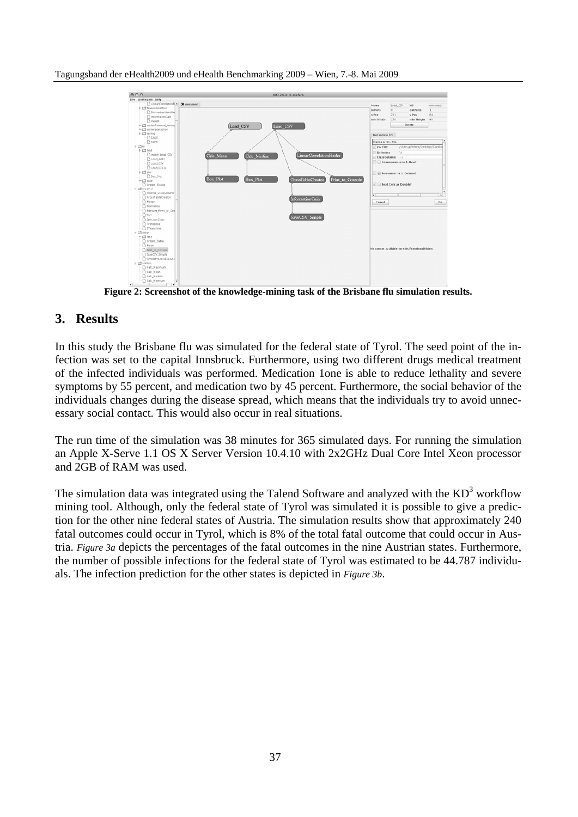

**Figure 2: Screenshot of the knowledge-mining task of the Brisbane flu simulation results.** 

## **3. Results**

In this study the Brisbane flu was simulated for the federal state of Tyrol. The seed point of the infection was set to the capital Innsbruck. Furthermore, using two different drugs medical treatment of the infected individuals was performed. Medication 1one is able to reduce lethality and severe symptoms by 55 percent, and medication two by 45 percent. Furthermore, the social behavior of the individuals changes during the disease spread, which means that the individuals try to avoid unnecessary social contact. This would also occur in real situations.

The run time of the simulation was 38 minutes for 365 simulated days. For running the simulation an Apple X-Serve 1.1 OS X Server Version 10.4.10 with 2x2GHz Dual Core Intel Xeon processor and 2GB of RAM was used.

The simulation data was integrated using the Talend Software and analyzed with the  $KD^3$  workflow mining tool. Although, only the federal state of Tyrol was simulated it is possible to give a prediction for the other nine federal states of Austria. The simulation results show that approximately 240 fatal outcomes could occur in Tyrol, which is 8% of the total fatal outcome that could occur in Austria. *Figure 3a* depicts the percentages of the fatal outcomes in the nine Austrian states. Furthermore, the number of possible infections for the federal state of Tyrol was estimated to be 44.787 individuals. The infection prediction for the other states is depicted in *Figure 3b*.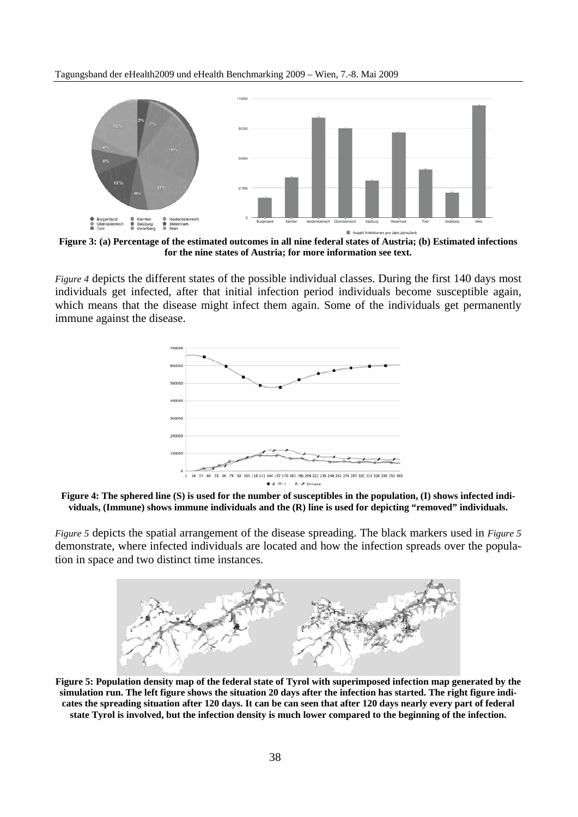Tagungsband der eHealth2009 und eHealth Benchmarking 2009 – Wien, 7.-8. Mai 2009



**Figure 3: (a) Percentage of the estimated outcomes in all nine federal states of Austria; (b) Estimated infections for the nine states of Austria; for more information see text.** 

*Figure 4* depicts the different states of the possible individual classes. During the first 140 days most individuals get infected, after that initial infection period individuals become susceptible again, which means that the disease might infect them again. Some of the individuals get permanently immune against the disease.



**Figure 4: The sphered line (S) is used for the number of susceptibles in the population, (I) shows infected individuals, (Immune) shows immune individuals and the (R) line is used for depicting "removed" individuals.** 

*Figure 5* depicts the spatial arrangement of the disease spreading. The black markers used in *Figure 5* demonstrate, where infected individuals are located and how the infection spreads over the population in space and two distinct time instances.



**Figure 5: Population density map of the federal state of Tyrol with superimposed infection map generated by the simulation run. The left figure shows the situation 20 days after the infection has started. The right figure indicates the spreading situation after 120 days. It can be can seen that after 120 days nearly every part of federal state Tyrol is involved, but the infection density is much lower compared to the beginning of the infection.**